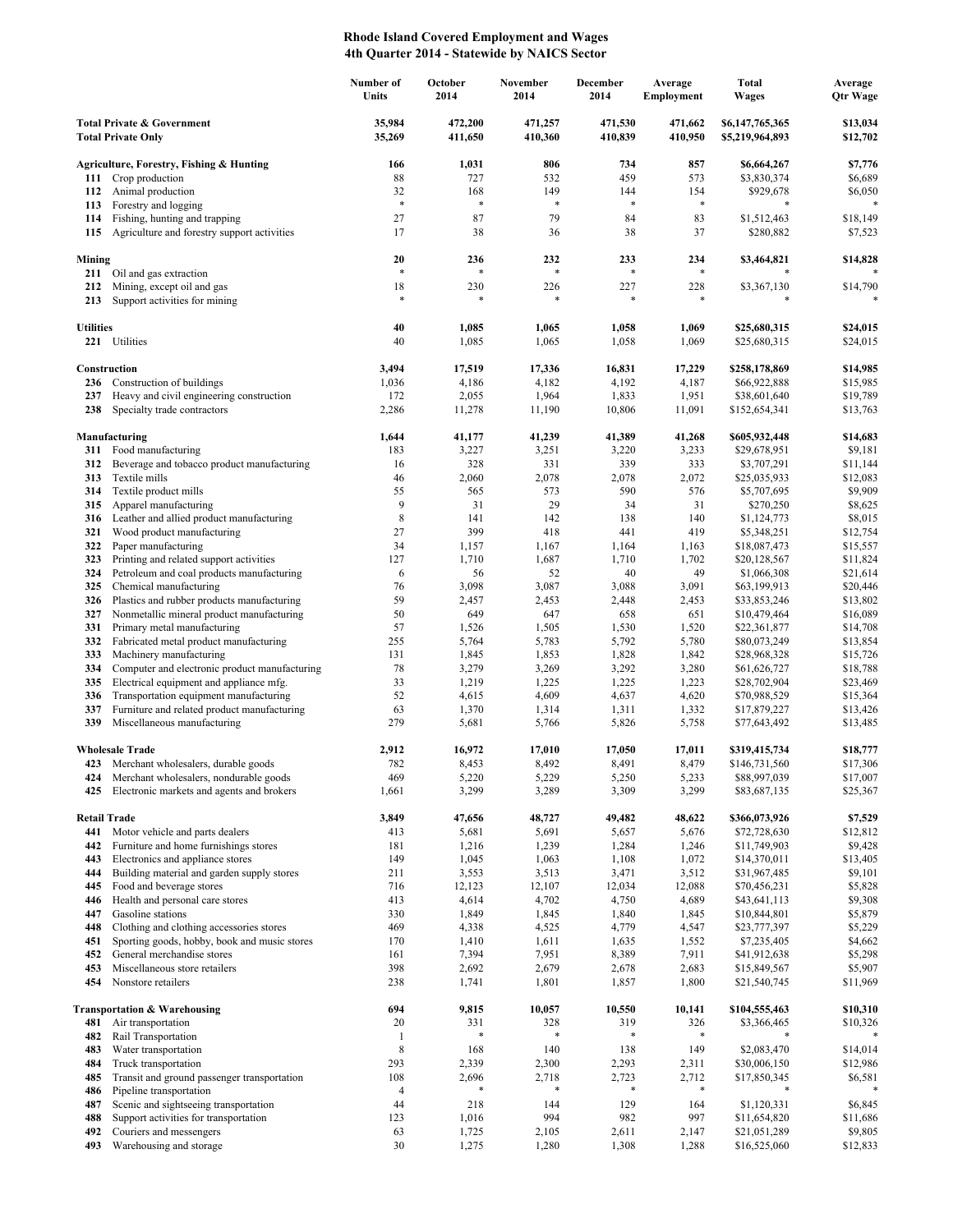## **Rhode Island Covered Employment and Wages 4th Quarter 2014 - Statewide by NAICS Sector**

|                                                                    |                                                                          | Number of<br>Units    | October<br>2014    | <b>November</b><br>2014 | December<br>2014   | Average<br><b>Employment</b> | Total<br><b>Wages</b>              | Average<br><b>Qtr Wage</b> |
|--------------------------------------------------------------------|--------------------------------------------------------------------------|-----------------------|--------------------|-------------------------|--------------------|------------------------------|------------------------------------|----------------------------|
| <b>Total Private &amp; Government</b><br><b>Total Private Only</b> |                                                                          | 35,984<br>35,269      | 472,200<br>411,650 | 471,257<br>410,360      | 471,530<br>410,839 | 471,662<br>410,950           | \$6,147,765,365<br>\$5,219,964,893 | \$13,034<br>\$12,702       |
|                                                                    | Agriculture, Forestry, Fishing & Hunting                                 | 166                   | 1,031              | 806                     | 734                | 857                          | \$6,664,267                        | \$7,776                    |
| 111                                                                | Crop production                                                          | 88                    | 727                | 532                     | 459                | 573                          | \$3,830,374                        | \$6,689                    |
| 112                                                                | Animal production                                                        | 32                    | 168                | 149                     | 144                | 154                          | \$929,678                          | \$6,050                    |
| 113                                                                | Forestry and logging                                                     | $\ast$                | $\ast$             | $\ast$                  | $\ast$             | $\ast$                       | *                                  |                            |
| 114                                                                | Fishing, hunting and trapping                                            | 27                    | 87                 | 79                      | 84                 | 83                           | \$1,512,463                        | \$18,149                   |
| 115                                                                | Agriculture and forestry support activities                              | 17                    | 38                 | 36                      | 38                 | 37                           | \$280,882                          | \$7,523                    |
| Mining                                                             | 211 Oil and gas extraction                                               | 20<br>$\ast$          | 236<br>$\ast$      | 232<br>$\ast$           | 233<br>$\ast$      | 234<br>*                     | \$3,464,821                        | \$14,828                   |
| 212                                                                | Mining, except oil and gas                                               | 18                    | 230                | 226                     | 227                | 228                          | \$3,367,130                        | \$14,790                   |
| 213                                                                | Support activities for mining                                            | $\ast$                | $\ast$             | $\ast$                  | $\ast$             | *                            | $\ast$                             |                            |
| <b>Utilities</b><br>221                                            | Utilities                                                                | 40<br>40              | 1,085<br>1,085     | 1,065<br>1,065          | 1,058<br>1,058     | 1,069<br>1,069               | \$25,680,315<br>\$25,680,315       | \$24,015<br>\$24,015       |
|                                                                    | Construction                                                             | 3,494                 | 17,519             | 17,336                  | 16,831             | 17,229                       | \$258,178,869                      | \$14,985                   |
| 236                                                                | Construction of buildings                                                | 1,036                 | 4,186              | 4,182                   | 4,192              | 4,187                        | \$66,922,888                       | \$15,985                   |
| 237                                                                | Heavy and civil engineering construction                                 | 172                   | 2,055              | 1,964                   | 1,833              | 1,951                        | \$38,601,640                       | \$19,789                   |
| 238                                                                | Specialty trade contractors                                              | 2,286                 | 11,278             | 11,190                  | 10,806             | 11,091                       | \$152,654,341                      | \$13,763                   |
|                                                                    | Manufacturing                                                            | 1,644                 | 41,177             | 41,239                  | 41,389             | 41,268                       | \$605,932,448                      | \$14,683                   |
| 311                                                                | Food manufacturing                                                       | 183                   | 3,227              | 3,251                   | 3,220              | 3,233                        | \$29,678,951                       | \$9,181                    |
| 312                                                                | Beverage and tobacco product manufacturing                               | 16<br>46              | 328                | 331                     | 339                | 333                          | \$3,707,291                        | \$11,144                   |
| 313<br>314                                                         | Textile mills<br>Textile product mills                                   | 55                    | 2,060<br>565       | 2,078<br>573            | 2,078<br>590       | 2,072<br>576                 | \$25,035,933<br>\$5,707,695        | \$12,083<br>\$9,909        |
| 315                                                                | Apparel manufacturing                                                    | 9                     | 31                 | 29                      | 34                 | 31                           | \$270,250                          | \$8,625                    |
| 316                                                                | Leather and allied product manufacturing                                 | 8                     | 141                | 142                     | 138                | 140                          | \$1,124,773                        | \$8,015                    |
| 321                                                                | Wood product manufacturing                                               | 27                    | 399                | 418                     | 441                | 419                          | \$5,348,251                        | \$12,754                   |
| 322                                                                | Paper manufacturing                                                      | 34                    | 1,157              | 1,167                   | 1,164              | 1,163                        | \$18,087,473                       | \$15,557                   |
| 323                                                                | Printing and related support activities                                  | 127                   | 1,710              | 1,687                   | 1,710              | 1,702                        | \$20,128,567                       | \$11,824                   |
| 324                                                                | Petroleum and coal products manufacturing                                | 6                     | 56                 | 52                      | 40                 | 49                           | \$1,066,308                        | \$21,614                   |
| 325                                                                | Chemical manufacturing                                                   | 76                    | 3,098              | 3,087                   | 3,088              | 3,091                        | \$63,199,913                       | \$20,446                   |
| 326                                                                | Plastics and rubber products manufacturing                               | 59                    | 2,457              | 2,453                   | 2,448              | 2,453                        | \$33,853,246                       | \$13,802                   |
| 327<br>331                                                         | Nonmetallic mineral product manufacturing<br>Primary metal manufacturing | 50<br>57              | 649<br>1,526       | 647<br>1,505            | 658<br>1,530       | 651<br>1,520                 | \$10,479,464<br>\$22,361,877       | \$16,089<br>\$14,708       |
| 332                                                                | Fabricated metal product manufacturing                                   | 255                   | 5,764              | 5,783                   | 5,792              | 5,780                        | \$80,073,249                       | \$13,854                   |
| 333                                                                | Machinery manufacturing                                                  | 131                   | 1,845              | 1,853                   | 1,828              | 1,842                        | \$28,968,328                       | \$15,726                   |
| 334                                                                | Computer and electronic product manufacturing                            | 78                    | 3,279              | 3,269                   | 3,292              | 3,280                        | \$61,626,727                       | \$18,788                   |
| 335                                                                | Electrical equipment and appliance mfg.                                  | 33                    | 1,219              | 1,225                   | 1,225              | 1,223                        | \$28,702,904                       | \$23,469                   |
| 336                                                                | Transportation equipment manufacturing                                   | 52                    | 4,615              | 4,609                   | 4,637              | 4,620                        | \$70,988,529                       | \$15,364                   |
| 337                                                                | Furniture and related product manufacturing                              | 63                    | 1,370              | 1,314                   | 1,311              | 1,332                        | \$17,879,227                       | \$13,426                   |
| 339                                                                | Miscellaneous manufacturing                                              | 279                   | 5,681              | 5,766                   | 5,826              | 5,758                        | \$77,643,492                       | \$13,485                   |
|                                                                    | <b>Wholesale Trade</b>                                                   | 2,912                 | 16,972             | 17,010                  | 17,050             | 17,011                       | \$319,415,734                      | \$18,777                   |
| 423                                                                | Merchant wholesalers, durable goods                                      | 782                   | 8,453              | 8,492                   | 8,491              | 8,479                        | \$146,731,560                      | \$17,306                   |
| 424                                                                | Merchant wholesalers, nondurable goods                                   | 469                   | 5,220              | 5,229                   | 5,250              | 5,233                        | \$88,997,039                       | \$17,007                   |
| 425                                                                | Electronic markets and agents and brokers                                | 1,661                 | 3,299              | 3,289                   | 3,309              | 3,299                        | \$83,687,135                       | \$25,367                   |
| <b>Retail Trade</b><br>441                                         | Motor vehicle and parts dealers                                          | 3,849<br>413          | 47,656<br>5,681    | 48,727<br>5,691         | 49,482<br>5,657    | 48,622<br>5,676              | \$366,073,926<br>\$72,728,630      | \$7,529<br>\$12,812        |
| 442                                                                | Furniture and home furnishings stores                                    | 181                   | 1,216              | 1,239                   | 1,284              | 1,246                        | \$11,749,903                       | \$9,428                    |
| 443                                                                | Electronics and appliance stores                                         | 149                   | 1,045              | 1,063                   | 1,108              | 1,072                        | \$14,370,011                       | \$13,405                   |
| 444                                                                | Building material and garden supply stores                               | 211                   | 3,553              | 3,513                   | 3,471              | 3,512                        | \$31,967,485                       | \$9,101                    |
| 445                                                                | Food and beverage stores                                                 | 716                   | 12,123             | 12,107                  | 12,034             | 12,088                       | \$70,456,231                       | \$5,828                    |
| 446                                                                | Health and personal care stores                                          | 413                   | 4,614              | 4,702                   | 4,750              | 4,689                        | \$43,641,113                       | \$9,308                    |
| 447                                                                | Gasoline stations                                                        | 330                   | 1,849              | 1,845                   | 1,840              | 1,845                        | \$10,844,801                       | \$5,879                    |
| 448                                                                | Clothing and clothing accessories stores                                 | 469                   | 4,338              | 4,525                   | 4,779              | 4,547                        | \$23,777,397                       | \$5,229                    |
| 451                                                                | Sporting goods, hobby, book and music stores                             | 170                   | 1,410              | 1,611                   | 1,635              | 1,552                        | \$7,235,405                        | \$4,662                    |
| 452<br>453                                                         | General merchandise stores<br>Miscellaneous store retailers              | 161<br>398            | 7,394<br>2,692     | 7,951<br>2,679          | 8,389<br>2,678     | 7,911<br>2,683               | \$41,912,638<br>\$15,849,567       | \$5,298<br>\$5,907         |
| 454                                                                | Nonstore retailers                                                       | 238                   | 1,741              | 1,801                   | 1,857              | 1,800                        | \$21,540,745                       | \$11,969                   |
|                                                                    | <b>Transportation &amp; Warehousing</b>                                  | 694                   | 9,815              | 10,057                  | 10,550             | 10,141                       | \$104,555,463                      | \$10,310                   |
| 481                                                                | Air transportation                                                       | 20                    | 331                | 328                     | 319                | 326                          | \$3,366,465                        | \$10,326                   |
| 482                                                                | Rail Transportation                                                      | $\mathbf{1}$          | $\ast$             |                         | *                  | $\ast$                       |                                    |                            |
| 483                                                                | Water transportation                                                     | $\,$ 8 $\,$           | 168                | 140                     | 138                | 149                          | \$2,083,470                        | \$14,014                   |
| 484                                                                | Truck transportation                                                     | 293                   | 2,339              | 2,300                   | 2,293              | 2,311                        | \$30,006,150                       | \$12,986                   |
| 485<br>486                                                         | Transit and ground passenger transportation<br>Pipeline transportation   | 108<br>$\overline{4}$ | 2,696              | 2,718                   | 2,723              | 2,712<br>*                   | \$17,850,345                       | \$6,581                    |
| 487                                                                | Scenic and sightseeing transportation                                    | 44                    | 218                | 144                     | 129                | 164                          | \$1,120,331                        | \$6,845                    |
| 488                                                                | Support activities for transportation                                    | 123                   | 1,016              | 994                     | 982                | 997                          | \$11,654,820                       | \$11,686                   |
| 492                                                                | Couriers and messengers                                                  | 63                    | 1,725              | 2,105                   | 2,611              | 2,147                        | \$21,051,289                       | \$9,805                    |
| 493                                                                | Warehousing and storage                                                  | $30\,$                | 1,275              | 1,280                   | 1,308              | 1,288                        | \$16,525,060                       | \$12,833                   |